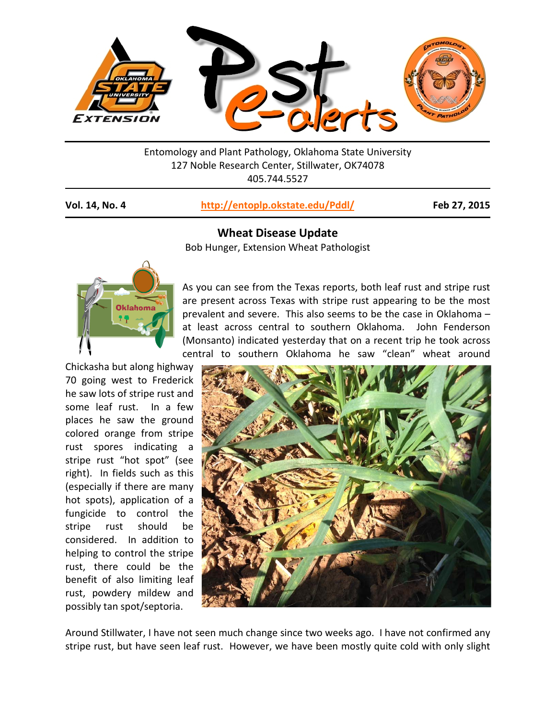

Entomology and Plant Pathology, Oklahoma State University 127 Noble Research Center, Stillwater, OK74078 405.744.5527

## **Vol. 14, No. 4 <http://entoplp.okstate.edu/Pddl/> Feb 27, 2015**

**Wheat Disease Update**  Bob Hunger, Extension Wheat Pathologist



Chickasha but along highway 70 going west to Frederick he saw lots of stripe rust and some leaf rust. In a few places he saw the ground colored orange from stripe rust spores indicating a stripe rust "hot spot" (see right). In fields such as this (especially if there are many hot spots), application of a fungicide to control the stripe rust should be considered. In addition to helping to control the stripe rust, there could be the benefit of also limiting leaf rust, powdery mildew and possibly tan spot/septoria.

As you can see from the Texas reports, both leaf rust and stripe rust are present across Texas with stripe rust appearing to be the most prevalent and severe. This also seems to be the case in Oklahoma – at least across central to southern Oklahoma. John Fenderson (Monsanto) indicated yesterday that on a recent trip he took across central to southern Oklahoma he saw "clean" wheat around



Around Stillwater, I have not seen much change since two weeks ago. I have not confirmed any stripe rust, but have seen leaf rust. However, we have been mostly quite cold with only slight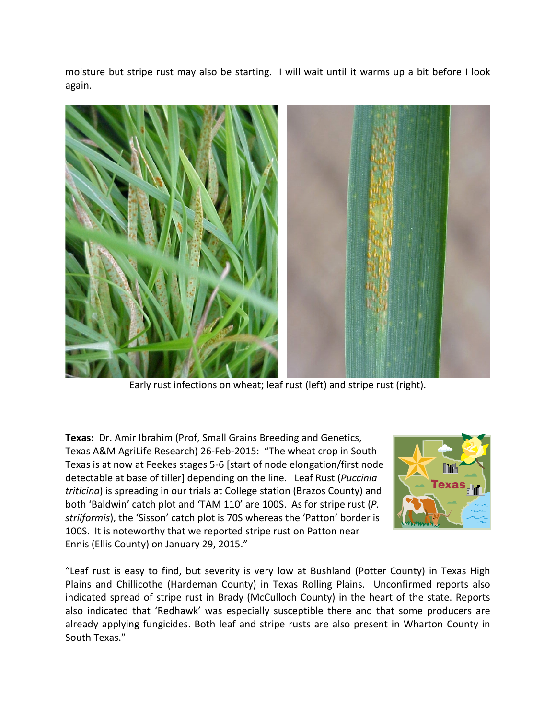moisture but stripe rust may also be starting. I will wait until it warms up a bit before I look again.



Early rust infections on wheat; leaf rust (left) and stripe rust (right).

**Texas:** Dr. Amir Ibrahim (Prof, Small Grains Breeding and Genetics, Texas A&M AgriLife Research) 26-Feb-2015: "The wheat crop in South Texas is at now at Feekes stages 5-6 [start of node elongation/first node detectable at base of tiller] depending on the line. Leaf Rust (*Puccinia triticina*) is spreading in our trials at College station (Brazos County) and both 'Baldwin' catch plot and 'TAM 110' are 100S. As for stripe rust (*P. striiformis*), the 'Sisson' catch plot is 70S whereas the 'Patton' border is 100S. It is noteworthy that we reported stripe rust on Patton near Ennis (Ellis County) on January 29, 2015."



"Leaf rust is easy to find, but severity is very low at Bushland (Potter County) in Texas High Plains and Chillicothe (Hardeman County) in Texas Rolling Plains. Unconfirmed reports also indicated spread of stripe rust in Brady (McCulloch County) in the heart of the state. Reports also indicated that 'Redhawk' was especially susceptible there and that some producers are already applying fungicides. Both leaf and stripe rusts are also present in Wharton County in South Texas."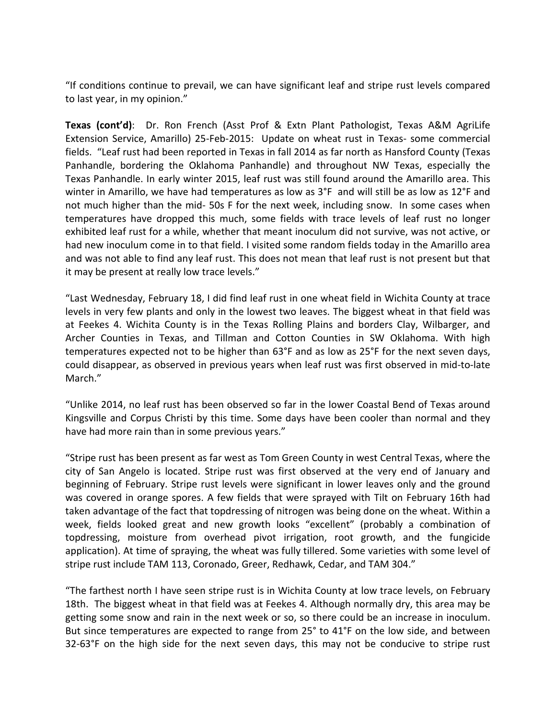"If conditions continue to prevail, we can have significant leaf and stripe rust levels compared to last year, in my opinion."

**Texas (cont'd)**: Dr. Ron French (Asst Prof & Extn Plant Pathologist, Texas A&M AgriLife Extension Service, Amarillo) 25-Feb-2015: Update on wheat rust in Texas- some commercial fields. "Leaf rust had been reported in Texas in fall 2014 as far north as Hansford County (Texas Panhandle, bordering the Oklahoma Panhandle) and throughout NW Texas, especially the Texas Panhandle. In early winter 2015, leaf rust was still found around the Amarillo area. This winter in Amarillo, we have had temperatures as low as 3°F and will still be as low as 12°F and not much higher than the mid- 50s F for the next week, including snow. In some cases when temperatures have dropped this much, some fields with trace levels of leaf rust no longer exhibited leaf rust for a while, whether that meant inoculum did not survive, was not active, or had new inoculum come in to that field. I visited some random fields today in the Amarillo area and was not able to find any leaf rust. This does not mean that leaf rust is not present but that it may be present at really low trace levels."

"Last Wednesday, February 18, I did find leaf rust in one wheat field in Wichita County at trace levels in very few plants and only in the lowest two leaves. The biggest wheat in that field was at Feekes 4. Wichita County is in the Texas Rolling Plains and borders Clay, Wilbarger, and Archer Counties in Texas, and Tillman and Cotton Counties in SW Oklahoma. With high temperatures expected not to be higher than 63°F and as low as 25°F for the next seven days, could disappear, as observed in previous years when leaf rust was first observed in mid-to-late March."

"Unlike 2014, no leaf rust has been observed so far in the lower Coastal Bend of Texas around Kingsville and Corpus Christi by this time. Some days have been cooler than normal and they have had more rain than in some previous years."

"Stripe rust has been present as far west as Tom Green County in west Central Texas, where the city of San Angelo is located. Stripe rust was first observed at the very end of January and beginning of February. Stripe rust levels were significant in lower leaves only and the ground was covered in orange spores. A few fields that were sprayed with Tilt on February 16th had taken advantage of the fact that topdressing of nitrogen was being done on the wheat. Within a week, fields looked great and new growth looks "excellent" (probably a combination of topdressing, moisture from overhead pivot irrigation, root growth, and the fungicide application). At time of spraying, the wheat was fully tillered. Some varieties with some level of stripe rust include TAM 113, Coronado, Greer, Redhawk, Cedar, and TAM 304."

"The farthest north I have seen stripe rust is in Wichita County at low trace levels, on February 18th. The biggest wheat in that field was at Feekes 4. Although normally dry, this area may be getting some snow and rain in the next week or so, so there could be an increase in inoculum. But since temperatures are expected to range from 25° to 41°F on the low side, and between 32-63°F on the high side for the next seven days, this may not be conducive to stripe rust